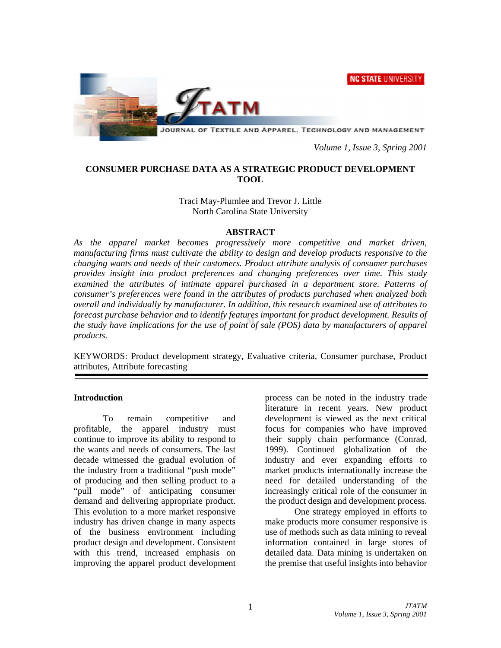NC STATE UNIVERSITY



*Volume 1, Issue 3, Spring 2001* 

# **CONSUMER PURCHASE DATA AS A STRATEGIC PRODUCT DEVELOPMENT TOOL**

# Traci May-Plumlee and Trevor J. Little North Carolina State University

## **ABSTRACT**

*As the apparel market becomes progressively more competitive and market driven, manufacturing firms must cultivate the ability to design and develop products responsive to the changing wants and needs of their customers. Product attribute analysis of consumer purchases provides insight into product preferences and changing preferences over time. This study examined the attributes of intimate apparel purchased in a department store. Patterns of consumer's preferences were found in the attributes of products purchased when analyzed both overall and individually by manufacturer. In addition, this research examined use of attributes to forecast purchase behavior and to identify features important for product development. Results of the study have implications for the use of point of sale (POS) data by manufacturers of apparel products.* 

KEYWORDS: Product development strategy, Evaluative criteria, Consumer purchase, Product attributes, Attribute forecasting

#### **Introduction**

To remain competitive and profitable, the apparel industry must continue to improve its ability to respond to the wants and needs of consumers. The last decade witnessed the gradual evolution of the industry from a traditional "push mode" of producing and then selling product to a "pull mode" of anticipating consumer demand and delivering appropriate product. This evolution to a more market responsive industry has driven change in many aspects of the business environment including product design and development. Consistent with this trend, increased emphasis on improving the apparel product development process can be noted in the industry trade literature in recent years. New product development is viewed as the next critical focus for companies who have improved their supply chain performance (Conrad, 1999). Continued globalization of the industry and ever expanding efforts to market products internationally increase the need for detailed understanding of the increasingly critical role of the consumer in the product design and development process.

One strategy employed in efforts to make products more consumer responsive is use of methods such as data mining to reveal information contained in large stores of detailed data. Data mining is undertaken on the premise that useful insights into behavior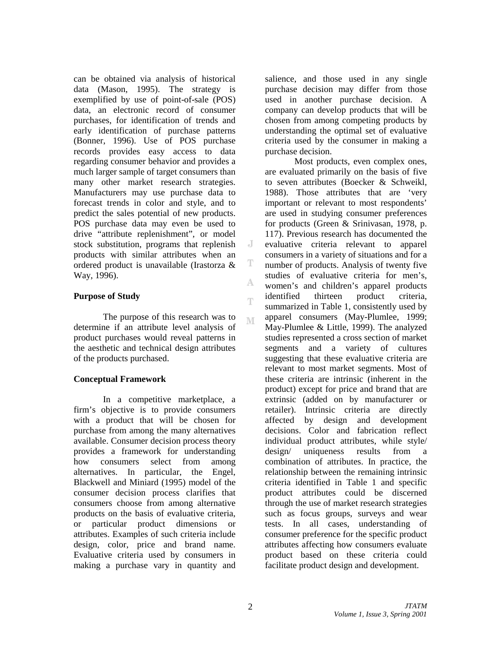can be obtained via analysis of historical data (Mason, 1995). The strategy is exemplified by use of point-of-sale (POS) data, an electronic record of consumer purchases, for identification of trends and early identification of purchase patterns (Bonner, 1996). Use of POS purchase records provides easy access to data regarding consumer behavior and provides a much larger sample of target consumers than many other market research strategies. Manufacturers may use purchase data to forecast trends in color and style, and to predict the sales potential of new products. POS purchase data may even be used to drive "attribute replenishment", or model stock substitution, programs that replenish products with similar attributes when an ordered product is unavailable (Irastorza & Way, 1996).

# **Purpose of Study**

The purpose of this research was to determine if an attribute level analysis of product purchases would reveal patterns in the aesthetic and technical design attributes of the products purchased.

## **Conceptual Framework**

In a competitive marketplace, a firm's objective is to provide consumers with a product that will be chosen for purchase from among the many alternatives available. Consumer decision process theory provides a framework for understanding how consumers select from among alternatives. In particular, the Engel, Blackwell and Miniard (1995) model of the consumer decision process clarifies that consumers choose from among alternative products on the basis of evaluative criteria, or particular product dimensions or attributes. Examples of such criteria include design, color, price and brand name. Evaluative criteria used by consumers in making a purchase vary in quantity and salience, and those used in any single purchase decision may differ from those used in another purchase decision. A company can develop products that will be chosen from among competing products by understanding the optimal set of evaluative criteria used by the consumer in making a purchase decision.

 Most products, even complex ones, are evaluated primarily on the basis of five to seven attributes (Boecker & Schweikl, 1988). Those attributes that are 'very important or relevant to most respondents' are used in studying consumer preferences for products (Green & Srinivasan, 1978, p. 117). Previous research has documented the evaluative criteria relevant to apparel consumers in a variety of situations and for a number of products. Analysis of twenty five studies of evaluative criteria for men's, women's and children's apparel products identified thirteen product criteria, summarized in Table 1, consistently used by apparel consumers (May-Plumlee, 1999; May-Plumlee & Little, 1999). The analyzed studies represented a cross section of market segments and a variety of cultures suggesting that these evaluative criteria are relevant to most market segments. Most of these criteria are intrinsic (inherent in the product) except for price and brand that are extrinsic (added on by manufacturer or retailer). Intrinsic criteria are directly affected by design and development decisions. Color and fabrication reflect individual product attributes, while style/ design/ uniqueness results from a combination of attributes. In practice, the relationship between the remaining intrinsic criteria identified in Table 1 and specific product attributes could be discerned through the use of market research strategies such as focus groups, surveys and wear tests. In all cases, understanding of consumer preference for the specific product attributes affecting how consumers evaluate product based on these criteria could facilitate product design and development.

J

T

А

T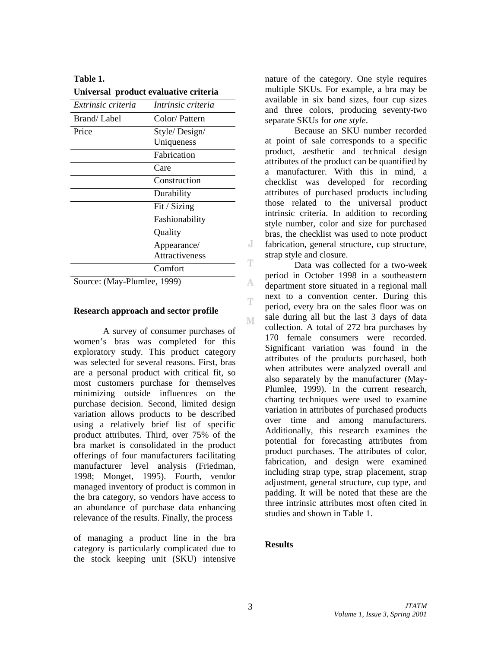| Extrinsic criteria | Intrinsic criteria    |
|--------------------|-----------------------|
| Brand/Label        | Color/Pattern         |
| Price              | Style/Design/         |
|                    | Uniqueness            |
|                    | Fabrication           |
|                    | Care                  |
|                    | Construction          |
|                    | Durability            |
|                    | Fit / Sizing          |
|                    | Fashionability        |
|                    | Quality               |
|                    | Appearance/           |
|                    | <b>Attractiveness</b> |
|                    | Comfort               |

| Table 1. |                                       |
|----------|---------------------------------------|
|          | Universal product evaluative criteria |

Source: (May-Plumlee, 1999)

#### **Research approach and sector profile**

A survey of consumer purchases of women's bras was completed for this exploratory study. This product category was selected for several reasons. First, bras are a personal product with critical fit, so most customers purchase for themselves minimizing outside influences on the purchase decision. Second, limited design variation allows products to be described using a relatively brief list of specific product attributes. Third, over 75% of the bra market is consolidated in the product offerings of four manufacturers facilitating manufacturer level analysis (Friedman, 1998; Monget, 1995). Fourth, vendor managed inventory of product is common in the bra category, so vendors have access to an abundance of purchase data enhancing relevance of the results. Finally, the process

of managing a product line in the bra category is particularly complicated due to the stock keeping unit (SKU) intensive nature of the category. One style requires multiple SKUs. For example, a bra may be available in six band sizes, four cup sizes and three colors, producing seventy-two separate SKUs for *one style*.

Because an SKU number recorded at point of sale corresponds to a specific product, aesthetic and technical design attributes of the product can be quantified by a manufacturer. With this in mind, a checklist was developed for recording attributes of purchased products including those related to the universal product intrinsic criteria. In addition to recording style number, color and size for purchased bras, the checklist was used to note product fabrication, general structure, cup structure, strap style and closure.

Data was collected for a two-week period in October 1998 in a southeastern department store situated in a regional mall next to a convention center. During this period, every bra on the sales floor was on sale during all but the last 3 days of data collection. A total of 272 bra purchases by 170 female consumers were recorded. Significant variation was found in the attributes of the products purchased, both when attributes were analyzed overall and also separately by the manufacturer (May-Plumlee, 1999). In the current research, charting techniques were used to examine variation in attributes of purchased products over time and among manufacturers. Additionally, this research examines the potential for forecasting attributes from product purchases. The attributes of color, fabrication, and design were examined including strap type, strap placement, strap adjustment, general structure, cup type, and padding. It will be noted that these are the three intrinsic attributes most often cited in studies and shown in Table 1.

## **Results**

J

T

A

T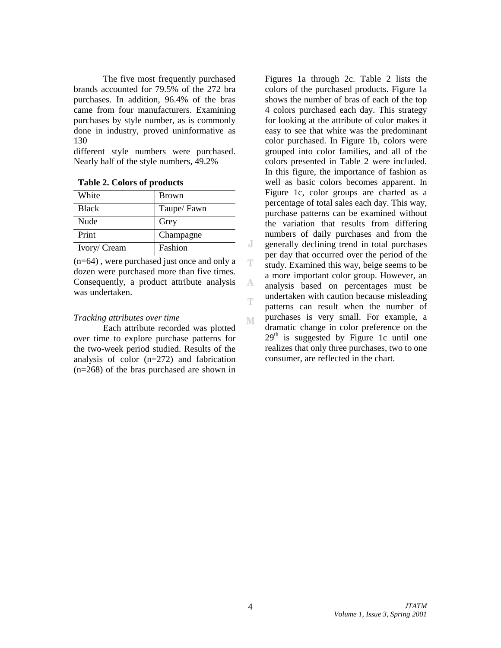The five most frequently purchased brands accounted for 79.5% of the 272 bra purchases. In addition, 96.4% of the bras came from four manufacturers. Examining purchases by style number, as is commonly done in industry, proved uninformative as 130

different style numbers were purchased. Nearly half of the style numbers, 49.2%

| White        | <b>Brown</b> |
|--------------|--------------|
| <b>Black</b> | Taupe/Fawn   |
| Nude         | Grey         |
| Print        | Champagne    |
| Ivory/ Cream | Fashion      |

|  |  |  | Table 2. Colors of products |
|--|--|--|-----------------------------|
|--|--|--|-----------------------------|

 $\overline{(n=64)}$ , were purchased just once and only a dozen were purchased more than five times. Consequently, a product attribute analysis was undertaken.

#### *Tracking attributes over time*

Each attribute recorded was plotted over time to explore purchase patterns for the two-week period studied. Results of the analysis of color (n=272) and fabrication (n=268) of the bras purchased are shown in

Figures 1a through 2c. Table 2 lists the colors of the purchased products. Figure 1a shows the number of bras of each of the top 4 colors purchased each day. This strategy for looking at the attribute of color makes it easy to see that white was the predominant color purchased. In Figure 1b, colors were grouped into color families, and all of the colors presented in Table 2 were included. In this figure, the importance of fashion as well as basic colors becomes apparent. In Figure 1c, color groups are charted as a percentage of total sales each day. This way, purchase patterns can be examined without the variation that results from differing numbers of daily purchases and from the generally declining trend in total purchases per day that occurred over the period of the study. Examined this way, beige seems to be a more important color group. However, an analysis based on percentages must be undertaken with caution because misleading patterns can result when the number of purchases is very small. For example, a dramatic change in color preference on the  $29<sup>th</sup>$  is suggested by Figure 1c until one realizes that only three purchases, two to one consumer, are reflected in the chart.

J

T

A

T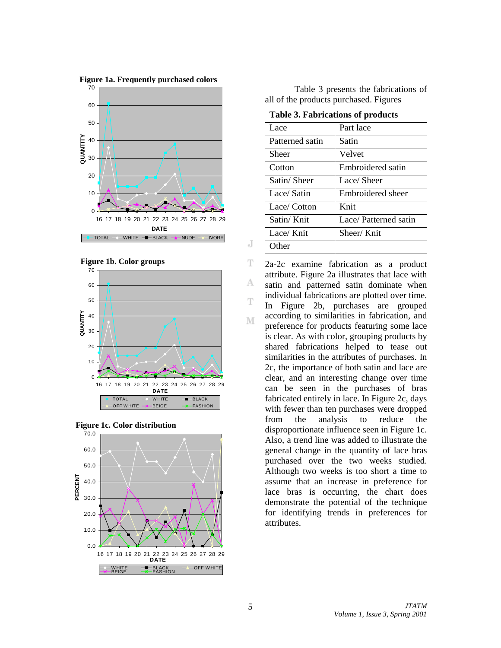









 Table 3 presents the fabrications of all of the products purchased. Figures

**Table 3. Fabrications of products** 

| Lace            | Part lace            |
|-----------------|----------------------|
| Patterned satin | Satin                |
| Sheer           | Velvet               |
| Cotton          | Embroidered satin    |
| Satin/Sheer     | Lace/Sheer           |
| Lace/Satin      | Embroidered sheer    |
| Lace/ Cotton    | Knit                 |
| Satin/Knit      | Lace/Patterned satin |
| Lace/Knit       | Sheer/Knit           |
| Other           |                      |

2a-2c examine fabrication as a product attribute. Figure 2a illustrates that lace with satin and patterned satin dominate when individual fabrications are plotted over time. In Figure 2b, purchases are grouped according to similarities in fabrication, and preference for products featuring some lace is clear. As with color, grouping products by shared fabrications helped to tease out similarities in the attributes of purchases. In 2c, the importance of both satin and lace are clear, and an interesting change over time can be seen in the purchases of bras fabricated entirely in lace. In Figure 2c, days with fewer than ten purchases were dropped from the analysis to reduce the disproportionate influence seen in Figure 1c. Also, a trend line was added to illustrate the general change in the quantity of lace bras purchased over the two weeks studied. Although two weeks is too short a time to assume that an increase in preference for lace bras is occurring, the chart does demonstrate the potential of the technique for identifying trends in preferences for attributes.

 *JTATM Volume 1, Issue 3, Spring 2001*

J

T

А

T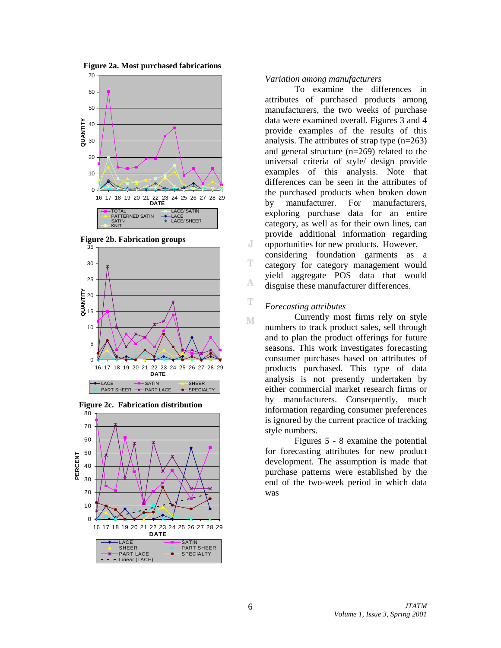

**Figure 2b. Fabrication groups**







#### *Variation among manufacturers*

 To examine the differences in attributes of purchased products among manufacturers, the two weeks of purchase data were examined overall. Figures 3 and 4 provide examples of the results of this analysis. The attributes of strap type (n=263) and general structure (n=269) related to the universal criteria of style/ design provide examples of this analysis. Note that differences can be seen in the attributes of the purchased products when broken down by manufacturer. For manufacturers, exploring purchase data for an entire category, as well as for their own lines, can provide additional information regarding opportunities for new products. However, considering foundation garments as a category for category management would yield aggregate POS data that would disguise these manufacturer differences.

#### *Forecasting attributes*

J

T

A

T

М

 Currently most firms rely on style numbers to track product sales, sell through and to plan the product offerings for future seasons. This work investigates forecasting consumer purchases based on attributes of products purchased. This type of data analysis is not presently undertaken by either commercial market research firms or by manufacturers. Consequently, much information regarding consumer preferences is ignored by the current practice of tracking style numbers.

Figures 5 - 8 examine the potential for forecasting attributes for new product development. The assumption is made that purchase patterns were established by the end of the two-week period in which data was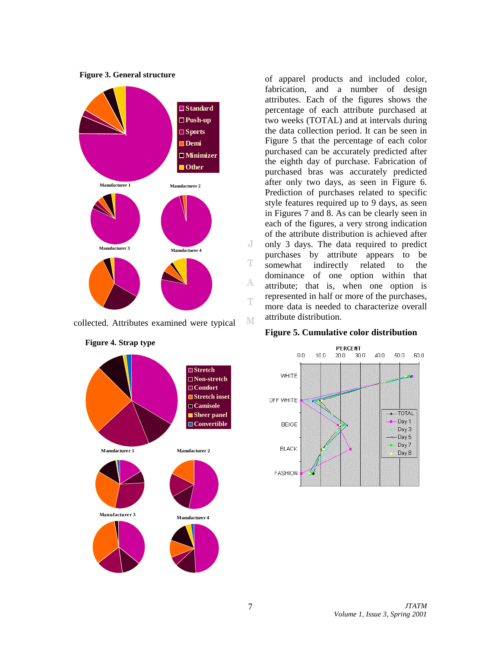

collected. Attributes examined were typical

**Stretch Non-stretch Comfort Stretch inset Camisole Sheer panel** ■ Convertible **Manufacturer 1 Manufacturer 2 Manufacturer 3 Manufacturer 4**

**Figure 4. Strap type** 

of apparel products and included color, fabrication, and a number of design attributes. Each of the figures shows the percentage of each attribute purchased at two weeks (TOTAL) and at intervals during the data collection period. It can be seen in Figure 5 that the percentage of each color purchased can be accurately predicted after the eighth day of purchase. Fabrication of purchased bras was accurately predicted after only two days, as seen in Figure 6. Prediction of purchases related to specific style features required up to 9 days, as seen in Figures 7 and 8. As can be clearly seen in each of the figures, a very strong indication of the attribute distribution is achieved after only 3 days. The data required to predict purchases by attribute appears to be somewhat indirectly related to the dominance of one option within that attribute; that is, when one option is represented in half or more of the purchases, more data is needed to characterize overall attribute distribution.

#### **Figure 5. Cumulative color distribution**



J

T

А

T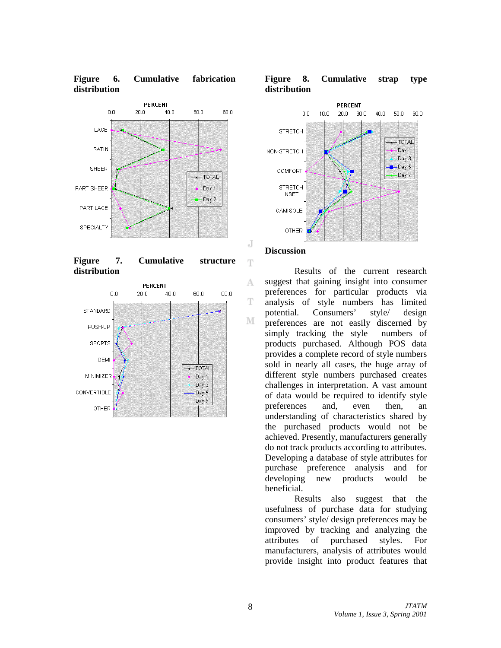

**Figure 6. Cumulative fabrication** 

**Figure 7. Cumulative structure distribution** 







#### **Discussion**

J

Ŧ

A

T

М

Results of the current research suggest that gaining insight into consumer preferences for particular products via analysis of style numbers has limited potential. Consumers' style/ design preferences are not easily discerned by simply tracking the style numbers of products purchased. Although POS data provides a complete record of style numbers sold in nearly all cases, the huge array of different style numbers purchased creates challenges in interpretation. A vast amount of data would be required to identify style preferences and, even then, an understanding of characteristics shared by the purchased products would not be achieved. Presently, manufacturers generally do not track products according to attributes. Developing a database of style attributes for purchase preference analysis and for developing new products would be beneficial.

Results also suggest that the usefulness of purchase data for studying consumers' style/ design preferences may be improved by tracking and analyzing the attributes of purchased styles. For manufacturers, analysis of attributes would provide insight into product features that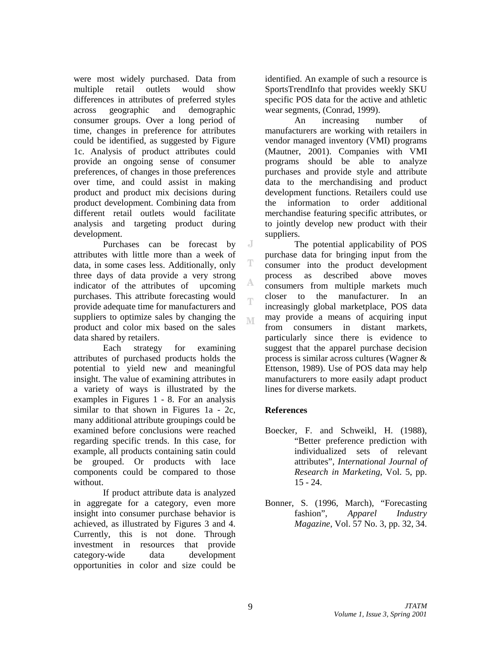were most widely purchased. Data from multiple retail outlets would show differences in attributes of preferred styles across geographic and demographic consumer groups. Over a long period of time, changes in preference for attributes could be identified, as suggested by Figure 1c. Analysis of product attributes could provide an ongoing sense of consumer preferences, of changes in those preferences over time, and could assist in making product and product mix decisions during product development. Combining data from different retail outlets would facilitate analysis and targeting product during development.

Purchases can be forecast by attributes with little more than a week of data, in some cases less. Additionally, only three days of data provide a very strong indicator of the attributes of upcoming purchases. This attribute forecasting would provide adequate time for manufacturers and suppliers to optimize sales by changing the product and color mix based on the sales data shared by retailers.

Each strategy for examining attributes of purchased products holds the potential to yield new and meaningful insight. The value of examining attributes in a variety of ways is illustrated by the examples in Figures 1 - 8. For an analysis similar to that shown in Figures 1a - 2c, many additional attribute groupings could be examined before conclusions were reached regarding specific trends. In this case, for example, all products containing satin could be grouped. Or products with lace components could be compared to those without.

If product attribute data is analyzed in aggregate for a category, even more insight into consumer purchase behavior is achieved, as illustrated by Figures 3 and 4. Currently, this is not done. Through investment in resources that provide category-wide data development opportunities in color and size could be

identified. An example of such a resource is SportsTrendInfo that provides weekly SKU specific POS data for the active and athletic wear segments, (Conrad, 1999).

An increasing number of manufacturers are working with retailers in vendor managed inventory (VMI) programs (Mautner, 2001). Companies with VMI programs should be able to analyze purchases and provide style and attribute data to the merchandising and product development functions. Retailers could use the information to order additional merchandise featuring specific attributes, or to jointly develop new product with their suppliers.

The potential applicability of POS purchase data for bringing input from the consumer into the product development process as described above moves consumers from multiple markets much closer to the manufacturer. In an increasingly global marketplace, POS data may provide a means of acquiring input from consumers in distant markets, particularly since there is evidence to suggest that the apparel purchase decision process is similar across cultures (Wagner & Ettenson, 1989). Use of POS data may help manufacturers to more easily adapt product lines for diverse markets.

# **References**

J

T

А

T

- Boecker, F. and Schweikl, H. (1988), "Better preference prediction with individualized sets of relevant attributes", *International Journal of Research in Marketing*, Vol. 5, pp. 15 - 24.
- Bonner, S. (1996, March), "Forecasting fashion", *Apparel Industry Magazine*, Vol. 57 No. 3, pp. 32, 34.